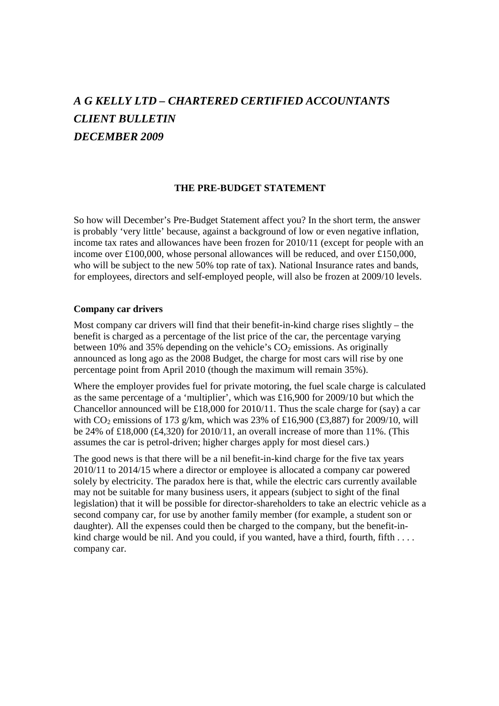# *A G KELLY LTD – CHARTERED CERTIFIED ACCOUNTANTS CLIENT BULLETIN DECEMBER 2009*

#### **THE PRE-BUDGET STATEMENT**

So how will December's Pre-Budget Statement affect you? In the short term, the answer is probably 'very little' because, against a background of low or even negative inflation, income tax rates and allowances have been frozen for 2010/11 (except for people with an income over £100,000, whose personal allowances will be reduced, and over £150,000, who will be subject to the new 50% top rate of tax). National Insurance rates and bands, for employees, directors and self-employed people, will also be frozen at 2009/10 levels.

#### **Company car drivers**

Most company car drivers will find that their benefit-in-kind charge rises slightly – the benefit is charged as a percentage of the list price of the car, the percentage varying between 10% and 35% depending on the vehicle's  $CO<sub>2</sub>$  emissions. As originally announced as long ago as the 2008 Budget, the charge for most cars will rise by one percentage point from April 2010 (though the maximum will remain 35%).

Where the employer provides fuel for private motoring, the fuel scale charge is calculated as the same percentage of a 'multiplier', which was £16,900 for 2009/10 but which the Chancellor announced will be £18,000 for 2010/11. Thus the scale charge for (say) a car with  $CO<sub>2</sub>$  emissions of 173 g/km, which was 23% of £16,900 (£3,887) for 2009/10, will be 24% of £18,000 (£4,320) for 2010/11, an overall increase of more than 11%. (This assumes the car is petrol-driven; higher charges apply for most diesel cars.)

The good news is that there will be a nil benefit-in-kind charge for the five tax years 2010/11 to 2014/15 where a director or employee is allocated a company car powered solely by electricity. The paradox here is that, while the electric cars currently available may not be suitable for many business users, it appears (subject to sight of the final legislation) that it will be possible for director-shareholders to take an electric vehicle as a second company car, for use by another family member (for example, a student son or daughter). All the expenses could then be charged to the company, but the benefit-inkind charge would be nil. And you could, if you wanted, have a third, fourth, fifth . . . . company car.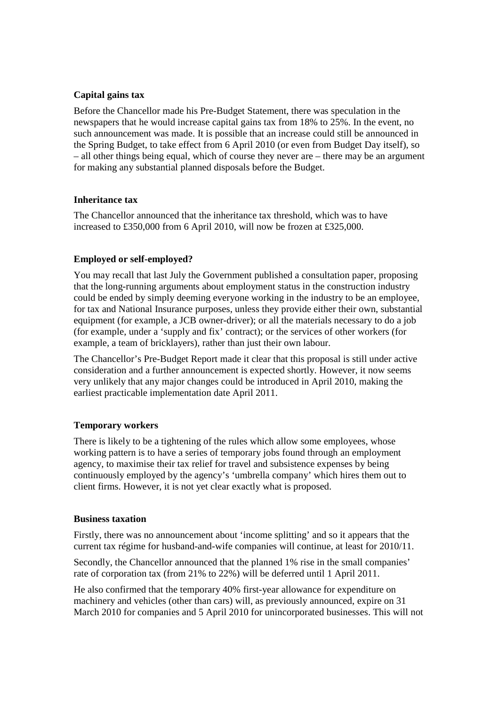### **Capital gains tax**

Before the Chancellor made his Pre-Budget Statement, there was speculation in the newspapers that he would increase capital gains tax from 18% to 25%. In the event, no such announcement was made. It is possible that an increase could still be announced in the Spring Budget, to take effect from 6 April 2010 (or even from Budget Day itself), so – all other things being equal, which of course they never are – there may be an argument for making any substantial planned disposals before the Budget.

## **Inheritance tax**

The Chancellor announced that the inheritance tax threshold, which was to have increased to £350,000 from 6 April 2010, will now be frozen at £325,000.

## **Employed or self-employed?**

You may recall that last July the Government published a consultation paper, proposing that the long-running arguments about employment status in the construction industry could be ended by simply deeming everyone working in the industry to be an employee, for tax and National Insurance purposes, unless they provide either their own, substantial equipment (for example, a JCB owner-driver); or all the materials necessary to do a job (for example, under a 'supply and fix' contract); or the services of other workers (for example, a team of bricklayers), rather than just their own labour.

The Chancellor's Pre-Budget Report made it clear that this proposal is still under active consideration and a further announcement is expected shortly. However, it now seems very unlikely that any major changes could be introduced in April 2010, making the earliest practicable implementation date April 2011.

#### **Temporary workers**

There is likely to be a tightening of the rules which allow some employees, whose working pattern is to have a series of temporary jobs found through an employment agency, to maximise their tax relief for travel and subsistence expenses by being continuously employed by the agency's 'umbrella company' which hires them out to client firms. However, it is not yet clear exactly what is proposed.

#### **Business taxation**

Firstly, there was no announcement about 'income splitting' and so it appears that the current tax régime for husband-and-wife companies will continue, at least for 2010/11.

Secondly, the Chancellor announced that the planned 1% rise in the small companies' rate of corporation tax (from 21% to 22%) will be deferred until 1 April 2011.

He also confirmed that the temporary 40% first-year allowance for expenditure on machinery and vehicles (other than cars) will, as previously announced, expire on 31 March 2010 for companies and 5 April 2010 for unincorporated businesses. This will not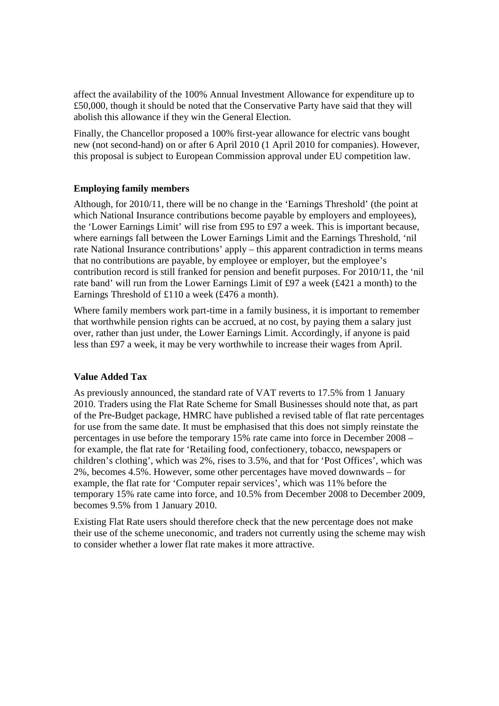affect the availability of the 100% Annual Investment Allowance for expenditure up to £50,000, though it should be noted that the Conservative Party have said that they will abolish this allowance if they win the General Election.

Finally, the Chancellor proposed a 100% first-year allowance for electric vans bought new (not second-hand) on or after 6 April 2010 (1 April 2010 for companies). However, this proposal is subject to European Commission approval under EU competition law.

#### **Employing family members**

Although, for 2010/11, there will be no change in the 'Earnings Threshold' (the point at which National Insurance contributions become payable by employers and employees), the 'Lower Earnings Limit' will rise from £95 to £97 a week. This is important because, where earnings fall between the Lower Earnings Limit and the Earnings Threshold, 'nil rate National Insurance contributions' apply – this apparent contradiction in terms means that no contributions are payable, by employee or employer, but the employee's contribution record is still franked for pension and benefit purposes. For 2010/11, the 'nil rate band' will run from the Lower Earnings Limit of £97 a week (£421 a month) to the Earnings Threshold of £110 a week (£476 a month).

Where family members work part-time in a family business, it is important to remember that worthwhile pension rights can be accrued, at no cost, by paying them a salary just over, rather than just under, the Lower Earnings Limit. Accordingly, if anyone is paid less than £97 a week, it may be very worthwhile to increase their wages from April.

#### **Value Added Tax**

As previously announced, the standard rate of VAT reverts to 17.5% from 1 January 2010. Traders using the Flat Rate Scheme for Small Businesses should note that, as part of the Pre-Budget package, HMRC have published a revised table of flat rate percentages for use from the same date. It must be emphasised that this does not simply reinstate the percentages in use before the temporary 15% rate came into force in December 2008 – for example, the flat rate for 'Retailing food, confectionery, tobacco, newspapers or children's clothing', which was 2%, rises to 3.5%, and that for 'Post Offices', which was 2%, becomes 4.5%. However, some other percentages have moved downwards – for example, the flat rate for 'Computer repair services', which was 11% before the temporary 15% rate came into force, and 10.5% from December 2008 to December 2009, becomes 9.5% from 1 January 2010.

Existing Flat Rate users should therefore check that the new percentage does not make their use of the scheme uneconomic, and traders not currently using the scheme may wish to consider whether a lower flat rate makes it more attractive.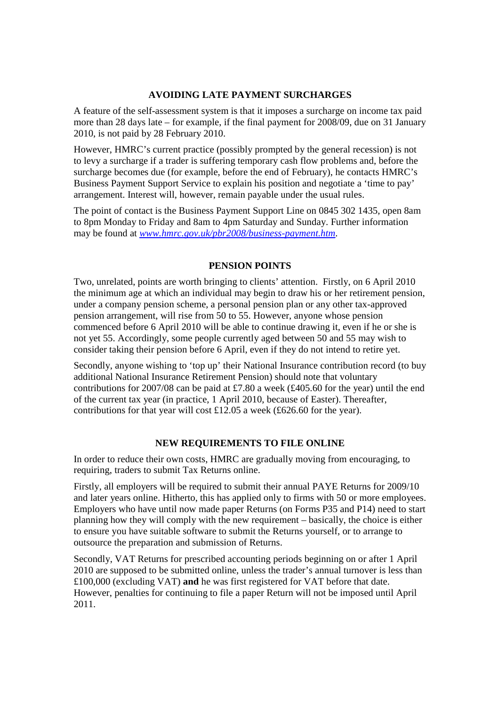#### **AVOIDING LATE PAYMENT SURCHARGES**

A feature of the self-assessment system is that it imposes a surcharge on income tax paid more than 28 days late – for example, if the final payment for 2008/09, due on 31 January 2010, is not paid by 28 February 2010.

However, HMRC's current practice (possibly prompted by the general recession) is not to levy a surcharge if a trader is suffering temporary cash flow problems and, before the surcharge becomes due (for example, before the end of February), he contacts HMRC's Business Payment Support Service to explain his position and negotiate a 'time to pay' arrangement. Interest will, however, remain payable under the usual rules.

The point of contact is the Business Payment Support Line on 0845 302 1435, open 8am to 8pm Monday to Friday and 8am to 4pm Saturday and Sunday. Further information may be found at *[www.hmrc.gov.uk/pbr2008/business-payment.htm](http://www.hmrc.gov.uk/pbr2008/business-payment.htm)*.

# **PENSION POINTS**

Two, unrelated, points are worth bringing to clients' attention. Firstly, on 6 April 2010 the minimum age at which an individual may begin to draw his or her retirement pension, under a company pension scheme, a personal pension plan or any other tax-approved pension arrangement, will rise from 50 to 55. However, anyone whose pension commenced before 6 April 2010 will be able to continue drawing it, even if he or she is not yet 55. Accordingly, some people currently aged between 50 and 55 may wish to consider taking their pension before 6 April, even if they do not intend to retire yet.

Secondly, anyone wishing to 'top up' their National Insurance contribution record (to buy additional National Insurance Retirement Pension) should note that voluntary contributions for 2007/08 can be paid at £7.80 a week (£405.60 for the year) until the end of the current tax year (in practice, 1 April 2010, because of Easter). Thereafter, contributions for that year will cost £12.05 a week (£626.60 for the year).

# **NEW REQUIREMENTS TO FILE ONLINE**

In order to reduce their own costs, HMRC are gradually moving from encouraging, to requiring, traders to submit Tax Returns online.

Firstly, all employers will be required to submit their annual PAYE Returns for 2009/10 and later years online. Hitherto, this has applied only to firms with 50 or more employees. Employers who have until now made paper Returns (on Forms P35 and P14) need to start planning how they will comply with the new requirement – basically, the choice is either to ensure you have suitable software to submit the Returns yourself, or to arrange to outsource the preparation and submission of Returns.

Secondly, VAT Returns for prescribed accounting periods beginning on or after 1 April 2010 are supposed to be submitted online, unless the trader's annual turnover is less than £100,000 (excluding VAT) **and** he was first registered for VAT before that date. However, penalties for continuing to file a paper Return will not be imposed until April 2011.